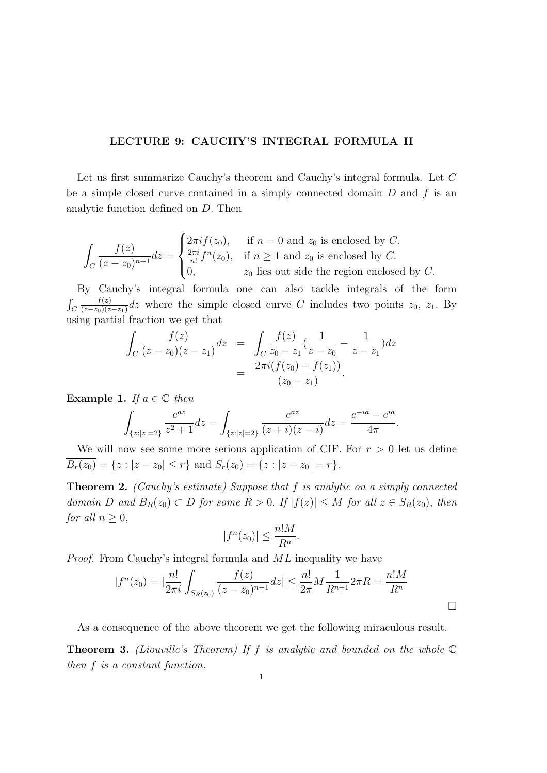## LECTURE 9: CAUCHY'S INTEGRAL FORMULA II

Let us first summarize Cauchy's theorem and Cauchy's integral formula. Let C be a simple closed curve contained in a simply connected domain  $D$  and  $f$  is an analytic function defined on D. Then

$$
\int_C \frac{f(z)}{(z-z_0)^{n+1}} dz = \begin{cases} 2\pi i f(z_0), & \text{if } n = 0 \text{ and } z_0 \text{ is enclosed by } C. \\ \frac{2\pi i}{n!} f^n(z_0), & \text{if } n \ge 1 \text{ and } z_0 \text{ is enclosed by } C. \\ 0, & z_0 \text{ lies out side the region enclosed by } C. \end{cases}
$$

By Cauchy's integral formula one can also tackle integrals of the form R  $\mathcal{C}_{0}^{0}$  $f(z)$  $\frac{f(z)}{(z-z_0)(z-z_1)}$  dz where the simple closed curve C includes two points  $z_0$ ,  $z_1$ . By using partial fraction we get that Z

$$
\int_C \frac{f(z)}{(z-z_0)(z-z_1)}dz = \int_C \frac{f(z)}{z_0-z_1}(\frac{1}{z-z_0}-\frac{1}{z-z_1})dz
$$

$$
= \frac{2\pi i(f(z_0)-f(z_1))}{(z_0-z_1)}.
$$

Example 1. If  $a \in \mathbb{C}$  then

$$
\int_{\{z:|z|=2\}} \frac{e^{az}}{z^2+1} dz = \int_{\{z:|z|=2\}} \frac{e^{az}}{(z+i)(z-i)} dz = \frac{e^{-ia} - e^{ia}}{4\pi}.
$$

We will now see some more serious application of CIF. For  $r > 0$  let us define  $\overline{B_r(z_0)} = \{z : |z - z_0| \le r\}$  and  $S_r(z_0) = \{z : |z - z_0| = r\}.$ 

Theorem 2. (Cauchy's estimate) Suppose that f is analytic on a simply connected domain D and  $\overline{B_R(z_0)} \subset D$  for some  $R > 0$ . If  $|f(z)| \leq M$  for all  $z \in S_R(z_0)$ , then for all  $n \geq 0$ ,

$$
|f^n(z_0)| \le \frac{n!M}{R^n}.
$$

Proof. From Cauchy's integral formula and ML inequality we have

$$
|f^{n}(z_{0})| = \left|\frac{n!}{2\pi i} \int_{S_{R}(z_{0})} \frac{f(z)}{(z-z_{0})^{n+1}} dz\right| \leq \frac{n!}{2\pi} M \frac{1}{R^{n+1}} 2\pi R = \frac{n! M}{R^{n}}
$$

As a consequence of the above theorem we get the following miraculous result.

**Theorem 3.** (Liouville's Theorem) If f is analytic and bounded on the whole  $\mathbb C$ then f is a constant function.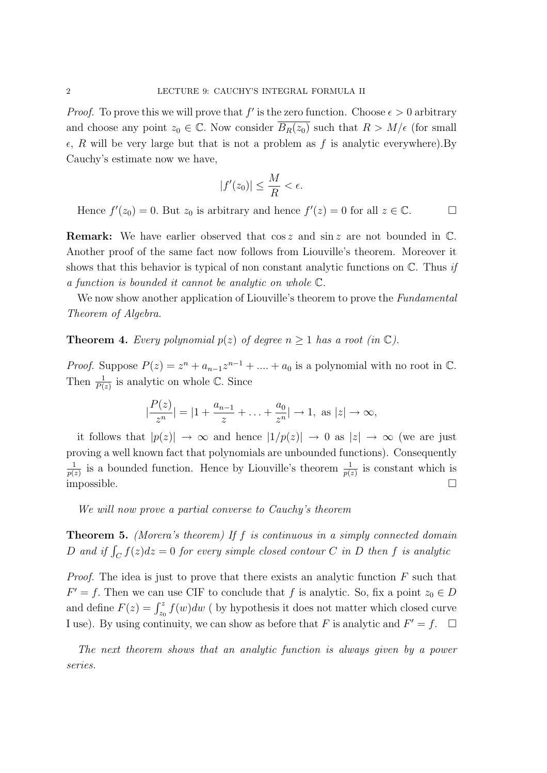*Proof.* To prove this we will prove that  $f'$  is the zero function. Choose  $\epsilon > 0$  arbitrary and choose any point  $z_0 \in \mathbb{C}$ . Now consider  $\overline{B_R(z_0)}$  such that  $R > M/\epsilon$  (for small  $\epsilon$ , R will be very large but that is not a problem as f is analytic everywhere). By Cauchy's estimate now we have,

$$
|f'(z_0)| \le \frac{M}{R} < \epsilon.
$$

Hence  $f'(z_0) = 0$ . But  $z_0$  is arbitrary and hence  $f'(z) = 0$  for all  $z \in \mathbb{C}$ .

**Remark:** We have earlier observed that  $\cos z$  and  $\sin z$  are not bounded in  $\mathbb{C}$ . Another proof of the same fact now follows from Liouville's theorem. Moreover it shows that this behavior is typical of non constant analytic functions on  $\mathbb{C}$ . Thus *if* a function is bounded it cannot be analytic on whole C.

We now show another application of Liouville's theorem to prove the *Fundamental* Theorem of Algebra.

**Theorem 4.** Every polynomial  $p(z)$  of degree  $n \ge 1$  has a root (in  $\mathbb{C}$ ).

*Proof.* Suppose  $P(z) = z^n + a_{n-1}z^{n-1} + \dots + a_0$  is a polynomial with no root in  $\mathbb{C}$ . Then  $\frac{1}{P(z)}$  is analytic on whole  $\mathbb{C}$ . Since

$$
\left|\frac{P(z)}{z^n}\right| = \left|1 + \frac{a_{n-1}}{z} + \ldots + \frac{a_0}{z^n}\right| \to 1, \text{ as } |z| \to \infty,
$$

it follows that  $|p(z)| \to \infty$  and hence  $|1/p(z)| \to 0$  as  $|z| \to \infty$  (we are just proving a well known fact that polynomials are unbounded functions). Consequently 1  $\frac{1}{p(z)}$  is a bounded function. Hence by Liouville's theorem  $\frac{1}{p(z)}$  is constant which is  $\Box$  impossible.  $\Box$ 

We will now prove a partial converse to Cauchy's theorem

**Theorem 5.** (Morera's theorem) If f is continuous in a simply connected domain D and if  $\int_C f(z)dz = 0$  for every simple closed contour C in D then f is analytic

*Proof.* The idea is just to prove that there exists an analytic function  $F$  such that  $F' = f$ . Then we can use CIF to conclude that f is analytic. So, fix a point  $z_0 \in D$ and define  $F(z) = \int_{z_0}^{z} f(w)dw$  (by hypothesis it does not matter which closed curve I use). By using continuity, we can show as before that F is analytic and  $F' = f$ .  $\Box$ 

The next theorem shows that an analytic function is always given by a power series.